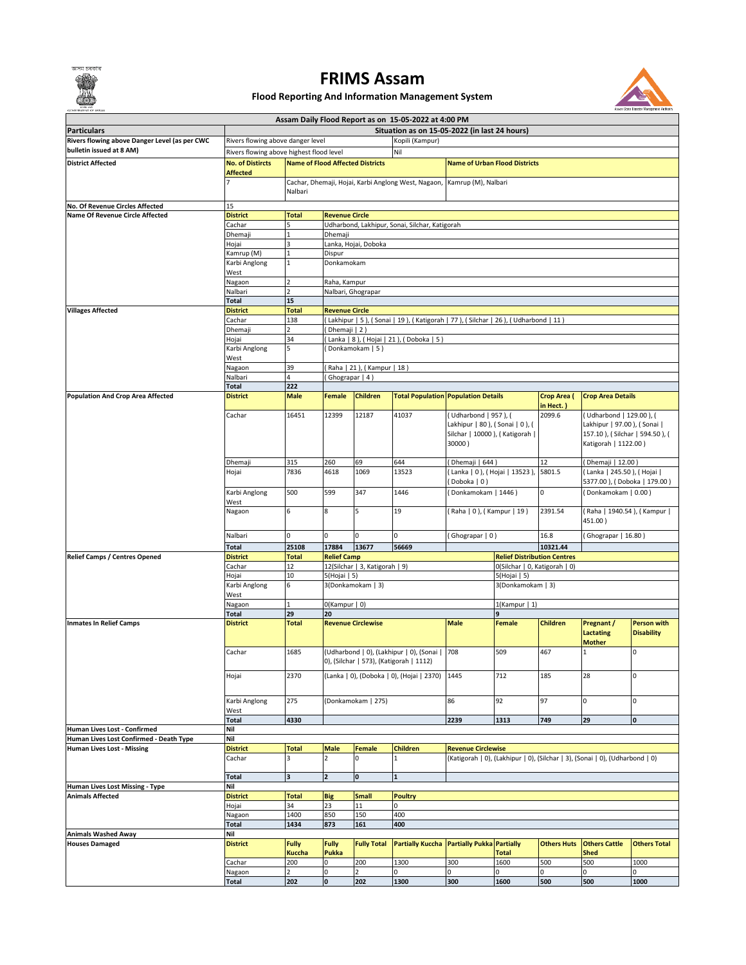অসম চৰকাৰ



## **Flood Reporting And Information Management System**



| <b>COVERNMENT OF ASSAI</b>                                          |                                                      |                                                                                                       |                                                                                                             |                                |                                                                                       |                                        |                               |                          |                                                                              |                     |  |
|---------------------------------------------------------------------|------------------------------------------------------|-------------------------------------------------------------------------------------------------------|-------------------------------------------------------------------------------------------------------------|--------------------------------|---------------------------------------------------------------------------------------|----------------------------------------|-------------------------------|--------------------------|------------------------------------------------------------------------------|---------------------|--|
|                                                                     | Assam Daily Flood Report as on 15-05-2022 at 4:00 PM |                                                                                                       |                                                                                                             |                                |                                                                                       |                                        |                               |                          |                                                                              |                     |  |
| <b>Particulars</b><br>Rivers flowing above Danger Level (as per CWC |                                                      | Situation as on 15-05-2022 (in last 24 hours)<br>Rivers flowing above danger level<br>Kopili (Kampur) |                                                                                                             |                                |                                                                                       |                                        |                               |                          |                                                                              |                     |  |
| bulletin issued at 8 AM)                                            |                                                      | Nil<br>Rivers flowing above highest flood level                                                       |                                                                                                             |                                |                                                                                       |                                        |                               |                          |                                                                              |                     |  |
| <b>District Affected</b>                                            | <b>No. of Distircts</b>                              |                                                                                                       | <b>Name of Flood Affected Districts</b><br><b>Name of Urban Flood Districts</b>                             |                                |                                                                                       |                                        |                               |                          |                                                                              |                     |  |
|                                                                     | <b>Affected</b>                                      |                                                                                                       |                                                                                                             |                                |                                                                                       |                                        |                               |                          |                                                                              |                     |  |
|                                                                     |                                                      |                                                                                                       | Cachar, Dhemaji, Hojai, Karbi Anglong West, Nagaon, Kamrup (M), Nalbari                                     |                                |                                                                                       |                                        |                               |                          |                                                                              |                     |  |
|                                                                     |                                                      | Nalbari                                                                                               |                                                                                                             |                                |                                                                                       |                                        |                               |                          |                                                                              |                     |  |
| No. Of Revenue Circles Affected                                     | 15                                                   |                                                                                                       |                                                                                                             |                                |                                                                                       |                                        |                               |                          |                                                                              |                     |  |
| <b>Name Of Revenue Circle Affected</b>                              | <b>District</b><br>Cachar                            | <b>Total</b><br>5                                                                                     | <b>Revenue Circle</b>                                                                                       |                                | Udharbond, Lakhipur, Sonai, Silchar, Katigorah                                        |                                        |                               |                          |                                                                              |                     |  |
|                                                                     | Dhemaji                                              | $\mathbf 1$                                                                                           | Dhemaji                                                                                                     |                                |                                                                                       |                                        |                               |                          |                                                                              |                     |  |
|                                                                     | Hojai                                                | $\overline{\mathbf{3}}$                                                                               |                                                                                                             | Lanka, Hojai, Doboka           |                                                                                       |                                        |                               |                          |                                                                              |                     |  |
|                                                                     | Kamrup (M)                                           | $\mathbf{1}$                                                                                          | Dispur                                                                                                      |                                |                                                                                       |                                        |                               |                          |                                                                              |                     |  |
|                                                                     | Karbi Anglong                                        | $\mathbf{1}$                                                                                          | Donkamokam                                                                                                  |                                |                                                                                       |                                        |                               |                          |                                                                              |                     |  |
|                                                                     | West                                                 |                                                                                                       |                                                                                                             |                                |                                                                                       |                                        |                               |                          |                                                                              |                     |  |
|                                                                     | Nagaon<br>Nalbari                                    | $\overline{2}$<br>$\overline{2}$                                                                      | Raha, Kampur                                                                                                | Nalbari, Ghograpar             |                                                                                       |                                        |                               |                          |                                                                              |                     |  |
|                                                                     | <b>Total</b>                                         | 15                                                                                                    |                                                                                                             |                                |                                                                                       |                                        |                               |                          |                                                                              |                     |  |
| <b>Villages Affected</b>                                            | <b>District</b>                                      | <b>Total</b>                                                                                          |                                                                                                             | <b>Revenue Circle</b>          |                                                                                       |                                        |                               |                          |                                                                              |                     |  |
|                                                                     | Cachar                                               | 138                                                                                                   |                                                                                                             |                                | (Lakhipur   5 ), (Sonai   19 ), (Katigorah   77 ), (Silchar   26 ), (Udharbond   11 ) |                                        |                               |                          |                                                                              |                     |  |
|                                                                     | Dhemaji                                              | 2                                                                                                     | Dhemaji   2)                                                                                                |                                |                                                                                       |                                        |                               |                          |                                                                              |                     |  |
|                                                                     | Hojai<br>Karbi Anglong                               | 34<br>5                                                                                               | (Lanka   8 ), ( Hojai   21 ), ( Doboka   5 )<br>Donkamokam   5)                                             |                                |                                                                                       |                                        |                               |                          |                                                                              |                     |  |
|                                                                     | West                                                 |                                                                                                       |                                                                                                             |                                |                                                                                       |                                        |                               |                          |                                                                              |                     |  |
|                                                                     | Nagaon                                               | 39                                                                                                    |                                                                                                             | (Raha   21), (Kampur   18)     |                                                                                       |                                        |                               |                          |                                                                              |                     |  |
|                                                                     | Nalbari                                              | 4                                                                                                     | Ghograpar   4)                                                                                              |                                |                                                                                       |                                        |                               |                          |                                                                              |                     |  |
|                                                                     | <b>Total</b>                                         | 222                                                                                                   |                                                                                                             |                                |                                                                                       |                                        |                               |                          |                                                                              |                     |  |
| Population And Crop Area Affected                                   | <b>District</b>                                      | <b>Male</b>                                                                                           | <b>Female</b>                                                                                               | <b>Children</b>                | <b>Total Population Population Details</b>                                            |                                        |                               | Crop Area (<br>in Hect.) | <b>Crop Area Details</b>                                                     |                     |  |
|                                                                     | Cachar                                               | 16451                                                                                                 | 12399                                                                                                       | 12187                          | 41037                                                                                 | (Udharbond   957), (                   |                               | 2099.6                   | (Udharbond   129.00), (                                                      |                     |  |
|                                                                     |                                                      |                                                                                                       |                                                                                                             |                                |                                                                                       | Lakhipur   80 ), (Sonai   0 ), (       |                               |                          | Lakhipur   97.00 ), ( Sonai                                                  |                     |  |
|                                                                     |                                                      |                                                                                                       |                                                                                                             |                                |                                                                                       | Silchar   10000 ), (Katigorah          |                               |                          | 157.10), (Silchar   594.50), (                                               |                     |  |
|                                                                     |                                                      |                                                                                                       |                                                                                                             |                                |                                                                                       | 30000)                                 |                               |                          | Katigorah   1122.00)                                                         |                     |  |
|                                                                     | Dhemaji                                              | 315                                                                                                   | 260                                                                                                         | 69                             | 644                                                                                   | [Dhemaji   644)                        |                               | 12                       | (Dhemaji   12.00)                                                            |                     |  |
|                                                                     | Hojai                                                | 7836                                                                                                  | 4618                                                                                                        | 1069                           | 13523                                                                                 | (Lanka   0 ), (Hojai   13523 ), 5801.5 |                               |                          | (Lanka   245.50), (Hojai                                                     |                     |  |
|                                                                     |                                                      |                                                                                                       |                                                                                                             |                                |                                                                                       | Doboka   0)                            |                               |                          | 5377.00 ), (Doboka   179.00 )                                                |                     |  |
|                                                                     | Karbi Anglong                                        | 500                                                                                                   | 599                                                                                                         | 347                            | 1446                                                                                  | Donkamokam   1446)                     |                               | $\mathsf{o}$             | (Donkamokam   0.00)                                                          |                     |  |
|                                                                     | West                                                 |                                                                                                       |                                                                                                             |                                |                                                                                       |                                        |                               |                          |                                                                              |                     |  |
|                                                                     | Nagaon                                               | 6                                                                                                     | 8                                                                                                           | 5                              | 19                                                                                    | [Raha   0 ), (Kampur   19 )            |                               | 2391.54                  | (Raha   1940.54), (Kampur                                                    |                     |  |
|                                                                     |                                                      |                                                                                                       |                                                                                                             |                                |                                                                                       |                                        |                               |                          | 451.00)                                                                      |                     |  |
|                                                                     | Nalbari                                              | 0                                                                                                     | I٥                                                                                                          | 0                              | 0                                                                                     | (Ghograpar   0)                        |                               | 16.8                     | (Ghograpar   16.80)                                                          |                     |  |
|                                                                     | <b>Total</b>                                         | 25108                                                                                                 | 17884                                                                                                       | 13677                          | 56669                                                                                 |                                        |                               | 10321.44                 |                                                                              |                     |  |
| <b>Relief Camps / Centres Opened</b>                                | <b>District</b>                                      | <b>Total</b>                                                                                          | <b>Relief Camp</b>                                                                                          |                                |                                                                                       | <b>Relief Distribution Centres</b>     |                               |                          |                                                                              |                     |  |
|                                                                     | Cachar                                               | 12                                                                                                    |                                                                                                             | 12(Silchar   3, Katigorah   9) |                                                                                       |                                        | 0(Silchar   0, Katigorah   0) |                          |                                                                              |                     |  |
|                                                                     | Hojai<br>Karbi Anglong                               | 10<br>6                                                                                               | 5(Hojai   5)<br>5(Hojai   5)<br>3(Donkamokam   3)<br>3(Donkamokam   3)<br>O(Kampur   0)<br>$1$ (Kampur   1) |                                |                                                                                       |                                        |                               |                          |                                                                              |                     |  |
|                                                                     | West                                                 |                                                                                                       |                                                                                                             |                                |                                                                                       |                                        |                               |                          |                                                                              |                     |  |
|                                                                     | Nagaon                                               | $\mathbf{1}$                                                                                          |                                                                                                             |                                |                                                                                       |                                        |                               |                          |                                                                              |                     |  |
|                                                                     | <b>Total</b>                                         | 29                                                                                                    | 20                                                                                                          |                                |                                                                                       | 9                                      |                               |                          |                                                                              |                     |  |
| <b>Inmates In Relief Camps</b>                                      | <b>District</b>                                      | <b>Total</b>                                                                                          |                                                                                                             | <b>Revenue Circlewise</b>      |                                                                                       | <b>Male</b>                            | Female                        | <b>Children</b>          | Pregnant /                                                                   | <b>Person with</b>  |  |
|                                                                     |                                                      |                                                                                                       |                                                                                                             |                                |                                                                                       |                                        |                               |                          | <b>Lactating</b><br><b>Mother</b>                                            | <b>Disability</b>   |  |
|                                                                     | Cachar                                               | 1685                                                                                                  |                                                                                                             |                                | (Udharbond   0), (Lakhipur   0), (Sonai   708                                         |                                        | 509                           | 467                      | 1                                                                            | $\mathbf 0$         |  |
|                                                                     |                                                      |                                                                                                       | 0), (Silchar   573), (Katigorah   1112)                                                                     |                                |                                                                                       |                                        |                               |                          |                                                                              |                     |  |
|                                                                     | Hojai                                                | 2370                                                                                                  | (Lanka   0), (Doboka   0), (Hojai   2370)                                                                   |                                |                                                                                       | 1445                                   | 712                           | 185                      | 28                                                                           | $\mathbf 0$         |  |
|                                                                     |                                                      |                                                                                                       |                                                                                                             |                                |                                                                                       |                                        |                               |                          |                                                                              |                     |  |
|                                                                     |                                                      | 275                                                                                                   |                                                                                                             |                                |                                                                                       | 86                                     | 92                            | 97                       | $\pmb{0}$                                                                    | $\mathbf 0$         |  |
|                                                                     | Karbi Anglong<br>West                                |                                                                                                       |                                                                                                             | (Donkamokam   275)             |                                                                                       |                                        |                               |                          |                                                                              |                     |  |
|                                                                     | <b>Total</b>                                         | 4330                                                                                                  |                                                                                                             |                                |                                                                                       | 2239                                   | 1313                          | 749                      | 29                                                                           | $\pmb{0}$           |  |
| Human Lives Lost - Confirmed                                        | Nil                                                  |                                                                                                       |                                                                                                             |                                |                                                                                       |                                        |                               |                          |                                                                              |                     |  |
| Human Lives Lost Confirmed - Death Type                             | Nil                                                  |                                                                                                       |                                                                                                             |                                |                                                                                       |                                        |                               |                          |                                                                              |                     |  |
| <b>Human Lives Lost - Missing</b>                                   | <b>District</b><br>Cachar                            | <b>Total</b><br>3                                                                                     | <b>Male</b><br><u> 2</u>                                                                                    | <b>Female</b><br>0             | Children<br>$\mathbf{1}$                                                              | <b>Revenue Circlewise</b>              |                               |                          | (Katigorah   0), (Lakhipur   0), (Silchar   3), (Sonai   0), (Udharbond   0) |                     |  |
|                                                                     |                                                      |                                                                                                       |                                                                                                             |                                |                                                                                       |                                        |                               |                          |                                                                              |                     |  |
|                                                                     | <b>Total</b>                                         | $\overline{\mathbf{3}}$                                                                               | 2                                                                                                           | $\mathbf{0}$                   | $\mathbf{1}$                                                                          |                                        |                               |                          |                                                                              |                     |  |
| Human Lives Lost Missing - Type                                     | Nil                                                  |                                                                                                       |                                                                                                             |                                |                                                                                       |                                        |                               |                          |                                                                              |                     |  |
| <b>Animals Affected</b>                                             | <b>District</b>                                      | <b>Total</b>                                                                                          | <b>Big</b>                                                                                                  | <b>Small</b>                   | <b>Poultry</b>                                                                        |                                        |                               |                          |                                                                              |                     |  |
|                                                                     | Hojai                                                | 34                                                                                                    | 23                                                                                                          | 11                             | 0                                                                                     |                                        |                               |                          |                                                                              |                     |  |
|                                                                     | Nagaon<br><b>Total</b>                               | 1400<br>1434                                                                                          | 850<br>873                                                                                                  | 150<br>161                     | 400<br>400                                                                            |                                        |                               |                          |                                                                              |                     |  |
| <b>Animals Washed Away</b>                                          | Nil                                                  |                                                                                                       |                                                                                                             |                                |                                                                                       |                                        |                               |                          |                                                                              |                     |  |
| <b>Houses Damaged</b>                                               | <b>District</b>                                      | <b>Fully</b>                                                                                          | <b>Fully</b>                                                                                                | <b>Fully Total</b>             | <b>Partially Kuccha</b>                                                               | <b>Partially Pukka Partially</b>       |                               | <b>Others Huts</b>       | <b>Others Cattle</b>                                                         | <b>Others Total</b> |  |
|                                                                     |                                                      | <b>Kuccha</b>                                                                                         | Pukka                                                                                                       |                                |                                                                                       |                                        | <b>Total</b>                  |                          | <b>Shed</b>                                                                  |                     |  |
|                                                                     | Cachar                                               | 200                                                                                                   | 0                                                                                                           | 200                            | 1300                                                                                  | 300                                    | 1600                          | 500                      | 500                                                                          | 1000                |  |
|                                                                     | Nagaon<br><b>Total</b>                               | $\overline{2}$<br>202                                                                                 | 0<br>O                                                                                                      | $\overline{2}$<br>202          | 0<br>1300                                                                             | $\mathsf{O}\xspace$<br>300             | I٥<br>1600                    | 0<br>500                 | 0<br>500                                                                     | 0<br>1000           |  |
|                                                                     |                                                      |                                                                                                       |                                                                                                             |                                |                                                                                       |                                        |                               |                          |                                                                              |                     |  |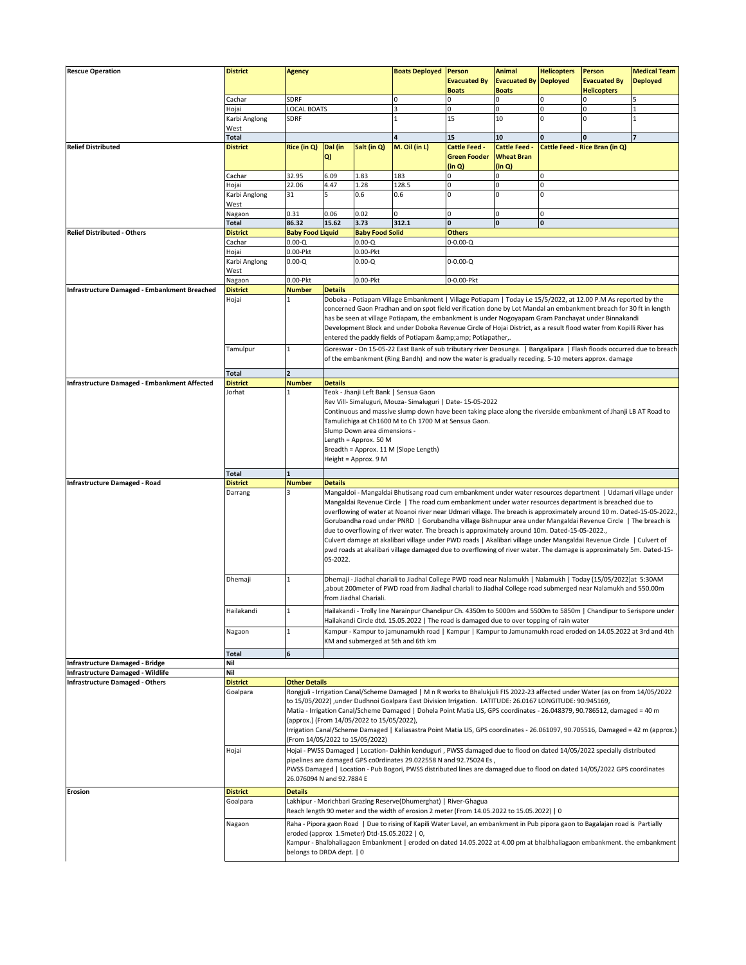| <b>Rescue Operation</b>                             | <b>District</b>             | <b>Agency</b>                                                                                                                                                                                                                                                                                                                                                                                                                                                                                                                                                                                                                                                                                                                                                                                                                                                                                                                                                                                   |                                                                                                                                                                                                                                                                                                                                                                                                                                                                                                                                                                                                                                                                                                                                                                                                                             |                        | <b>Boats Deployed</b>                                                                                                                                                                                          | Person<br><b>Evacuated By</b><br><b>Boats</b>         | <b>Animal</b><br><b>Evacuated By</b><br><b>Boats</b> | <b>Helicopters</b><br>Deployed | Person<br><b>Evacuated By</b><br><b>Helicopters</b> | <b>Medical Team</b><br><b>Deployed</b> |  |  |  |
|-----------------------------------------------------|-----------------------------|-------------------------------------------------------------------------------------------------------------------------------------------------------------------------------------------------------------------------------------------------------------------------------------------------------------------------------------------------------------------------------------------------------------------------------------------------------------------------------------------------------------------------------------------------------------------------------------------------------------------------------------------------------------------------------------------------------------------------------------------------------------------------------------------------------------------------------------------------------------------------------------------------------------------------------------------------------------------------------------------------|-----------------------------------------------------------------------------------------------------------------------------------------------------------------------------------------------------------------------------------------------------------------------------------------------------------------------------------------------------------------------------------------------------------------------------------------------------------------------------------------------------------------------------------------------------------------------------------------------------------------------------------------------------------------------------------------------------------------------------------------------------------------------------------------------------------------------------|------------------------|----------------------------------------------------------------------------------------------------------------------------------------------------------------------------------------------------------------|-------------------------------------------------------|------------------------------------------------------|--------------------------------|-----------------------------------------------------|----------------------------------------|--|--|--|
|                                                     | Cachar                      | SDRF                                                                                                                                                                                                                                                                                                                                                                                                                                                                                                                                                                                                                                                                                                                                                                                                                                                                                                                                                                                            |                                                                                                                                                                                                                                                                                                                                                                                                                                                                                                                                                                                                                                                                                                                                                                                                                             | 0                      | $\Omega$                                                                                                                                                                                                       | $\mathbf 0$                                           | $\mathbf 0$                                          | $\Omega$                       | 5                                                   |                                        |  |  |  |
|                                                     | Hojai                       | LOCAL BOATS<br>SDRF                                                                                                                                                                                                                                                                                                                                                                                                                                                                                                                                                                                                                                                                                                                                                                                                                                                                                                                                                                             |                                                                                                                                                                                                                                                                                                                                                                                                                                                                                                                                                                                                                                                                                                                                                                                                                             |                        | $\overline{\mathbf{3}}$<br>$\mathbf{1}$                                                                                                                                                                        | 0<br>15                                               | $\mathbf 0$<br>10                                    | $\pmb{0}$<br>0                 | $\Omega$<br>$\Omega$                                | 1                                      |  |  |  |
|                                                     | Karbi Anglong<br>West       |                                                                                                                                                                                                                                                                                                                                                                                                                                                                                                                                                                                                                                                                                                                                                                                                                                                                                                                                                                                                 |                                                                                                                                                                                                                                                                                                                                                                                                                                                                                                                                                                                                                                                                                                                                                                                                                             |                        |                                                                                                                                                                                                                |                                                       |                                                      |                                |                                                     |                                        |  |  |  |
|                                                     | <b>Total</b>                |                                                                                                                                                                                                                                                                                                                                                                                                                                                                                                                                                                                                                                                                                                                                                                                                                                                                                                                                                                                                 |                                                                                                                                                                                                                                                                                                                                                                                                                                                                                                                                                                                                                                                                                                                                                                                                                             |                        | 4                                                                                                                                                                                                              | 15                                                    | 10                                                   | $\mathbf{0}$                   | $\mathbf{0}$                                        | $\overline{7}$                         |  |  |  |
| <b>Relief Distributed</b>                           | <b>District</b>             | Rice (in Q)                                                                                                                                                                                                                                                                                                                                                                                                                                                                                                                                                                                                                                                                                                                                                                                                                                                                                                                                                                                     | Dal (in<br>Q)                                                                                                                                                                                                                                                                                                                                                                                                                                                                                                                                                                                                                                                                                                                                                                                                               | Salt (in Q)            | M. Oil (in L)                                                                                                                                                                                                  | <b>Cattle Feed -</b><br><b>Green Fooder</b><br>(in Q) | <b>Cattle Feed -</b><br><b>Wheat Bran</b><br>(in Q)  |                                | Cattle Feed - Rice Bran (in Q)                      |                                        |  |  |  |
|                                                     | Cachar                      | 32.95                                                                                                                                                                                                                                                                                                                                                                                                                                                                                                                                                                                                                                                                                                                                                                                                                                                                                                                                                                                           | 6.09                                                                                                                                                                                                                                                                                                                                                                                                                                                                                                                                                                                                                                                                                                                                                                                                                        | 1.83                   | 183                                                                                                                                                                                                            | 0                                                     | $\mathbf 0$                                          | $\pmb{0}$                      |                                                     |                                        |  |  |  |
|                                                     | Hojai                       | 22.06                                                                                                                                                                                                                                                                                                                                                                                                                                                                                                                                                                                                                                                                                                                                                                                                                                                                                                                                                                                           | 4.47                                                                                                                                                                                                                                                                                                                                                                                                                                                                                                                                                                                                                                                                                                                                                                                                                        | 1.28                   | 128.5                                                                                                                                                                                                          | O                                                     | $\mathbf{0}$                                         | 0                              |                                                     |                                        |  |  |  |
|                                                     | Karbi Anglong               | 31                                                                                                                                                                                                                                                                                                                                                                                                                                                                                                                                                                                                                                                                                                                                                                                                                                                                                                                                                                                              | 5                                                                                                                                                                                                                                                                                                                                                                                                                                                                                                                                                                                                                                                                                                                                                                                                                           | 0.6                    | 0.6                                                                                                                                                                                                            | 0                                                     | $\mathbf{0}$                                         | $\mathbf 0$                    |                                                     |                                        |  |  |  |
|                                                     | West<br>Nagaon              | 0.31                                                                                                                                                                                                                                                                                                                                                                                                                                                                                                                                                                                                                                                                                                                                                                                                                                                                                                                                                                                            | 0.06                                                                                                                                                                                                                                                                                                                                                                                                                                                                                                                                                                                                                                                                                                                                                                                                                        | 0.02                   | $\Omega$                                                                                                                                                                                                       | 0                                                     | $\mathbf 0$                                          | $\mathsf{O}$                   |                                                     |                                        |  |  |  |
|                                                     | <b>Total</b>                | 86.32                                                                                                                                                                                                                                                                                                                                                                                                                                                                                                                                                                                                                                                                                                                                                                                                                                                                                                                                                                                           | 15.62                                                                                                                                                                                                                                                                                                                                                                                                                                                                                                                                                                                                                                                                                                                                                                                                                       | 3.73                   | 312.1                                                                                                                                                                                                          | 0                                                     | $\mathbf{0}$                                         | $\pmb{0}$                      |                                                     |                                        |  |  |  |
| <b>Relief Distributed - Others</b>                  | <b>District</b>             | <b>Baby Food Liquid</b>                                                                                                                                                                                                                                                                                                                                                                                                                                                                                                                                                                                                                                                                                                                                                                                                                                                                                                                                                                         |                                                                                                                                                                                                                                                                                                                                                                                                                                                                                                                                                                                                                                                                                                                                                                                                                             | <b>Baby Food Solid</b> |                                                                                                                                                                                                                | <b>Others</b>                                         |                                                      |                                |                                                     |                                        |  |  |  |
|                                                     | Cachar                      | $0.00 - Q$<br>$0.00 - Q$                                                                                                                                                                                                                                                                                                                                                                                                                                                                                                                                                                                                                                                                                                                                                                                                                                                                                                                                                                        |                                                                                                                                                                                                                                                                                                                                                                                                                                                                                                                                                                                                                                                                                                                                                                                                                             |                        |                                                                                                                                                                                                                | $0 - 0.00 - Q$                                        |                                                      |                                |                                                     |                                        |  |  |  |
|                                                     | Hojai                       | 0.00-Pkt                                                                                                                                                                                                                                                                                                                                                                                                                                                                                                                                                                                                                                                                                                                                                                                                                                                                                                                                                                                        |                                                                                                                                                                                                                                                                                                                                                                                                                                                                                                                                                                                                                                                                                                                                                                                                                             | 0.00-Pkt               |                                                                                                                                                                                                                |                                                       |                                                      |                                |                                                     |                                        |  |  |  |
|                                                     | Karbi Anglong               | $0.00 - Q$                                                                                                                                                                                                                                                                                                                                                                                                                                                                                                                                                                                                                                                                                                                                                                                                                                                                                                                                                                                      |                                                                                                                                                                                                                                                                                                                                                                                                                                                                                                                                                                                                                                                                                                                                                                                                                             | $0.00 - Q$             |                                                                                                                                                                                                                | $0 - 0.00 - Q$                                        |                                                      |                                |                                                     |                                        |  |  |  |
|                                                     | West                        |                                                                                                                                                                                                                                                                                                                                                                                                                                                                                                                                                                                                                                                                                                                                                                                                                                                                                                                                                                                                 |                                                                                                                                                                                                                                                                                                                                                                                                                                                                                                                                                                                                                                                                                                                                                                                                                             |                        |                                                                                                                                                                                                                |                                                       |                                                      |                                |                                                     |                                        |  |  |  |
|                                                     | Nagaon                      | 0.00-Pkt                                                                                                                                                                                                                                                                                                                                                                                                                                                                                                                                                                                                                                                                                                                                                                                                                                                                                                                                                                                        | 0.00-Pkt<br>0-0.00-Pkt                                                                                                                                                                                                                                                                                                                                                                                                                                                                                                                                                                                                                                                                                                                                                                                                      |                        |                                                                                                                                                                                                                |                                                       |                                                      |                                |                                                     |                                        |  |  |  |
| Infrastructure Damaged - Embankment Breached        | <b>District</b>             | <b>Number</b>                                                                                                                                                                                                                                                                                                                                                                                                                                                                                                                                                                                                                                                                                                                                                                                                                                                                                                                                                                                   | <b>Details</b>                                                                                                                                                                                                                                                                                                                                                                                                                                                                                                                                                                                                                                                                                                                                                                                                              |                        |                                                                                                                                                                                                                |                                                       |                                                      |                                |                                                     |                                        |  |  |  |
|                                                     | Hojai                       | 1                                                                                                                                                                                                                                                                                                                                                                                                                                                                                                                                                                                                                                                                                                                                                                                                                                                                                                                                                                                               | Doboka - Potiapam Village Embankment   Village Potiapam   Today i.e 15/5/2022, at 12.00 P.M As reported by the<br>concerned Gaon Pradhan and on spot field verification done by Lot Mandal an embankment breach for 30 ft in length<br>has be seen at village Potiapam, the embankment is under Nogoyapam Gram Panchayat under Binnakandi<br>Development Block and under Doboka Revenue Circle of Hojai District, as a result flood water from Kopilli River has<br>entered the paddy fields of Potiapam & Potiapather,.                                                                                                                                                                                                                                                                                                    |                        |                                                                                                                                                                                                                |                                                       |                                                      |                                |                                                     |                                        |  |  |  |
|                                                     | Tamulpur                    | $\mathbf{1}$                                                                                                                                                                                                                                                                                                                                                                                                                                                                                                                                                                                                                                                                                                                                                                                                                                                                                                                                                                                    | Goreswar - On 15-05-22 East Bank of sub tributary river Deosunga.   Bangalipara   Flash floods occurred due to breach<br>of the embankment (Ring Bandh) and now the water is gradually receding. 5-10 meters approx. damage                                                                                                                                                                                                                                                                                                                                                                                                                                                                                                                                                                                                 |                        |                                                                                                                                                                                                                |                                                       |                                                      |                                |                                                     |                                        |  |  |  |
|                                                     | <b>Total</b>                | $\overline{2}$                                                                                                                                                                                                                                                                                                                                                                                                                                                                                                                                                                                                                                                                                                                                                                                                                                                                                                                                                                                  |                                                                                                                                                                                                                                                                                                                                                                                                                                                                                                                                                                                                                                                                                                                                                                                                                             |                        |                                                                                                                                                                                                                |                                                       |                                                      |                                |                                                     |                                        |  |  |  |
| <b>Infrastructure Damaged - Embankment Affected</b> | <b>District</b>             | <b>Number</b>                                                                                                                                                                                                                                                                                                                                                                                                                                                                                                                                                                                                                                                                                                                                                                                                                                                                                                                                                                                   | <b>Details</b>                                                                                                                                                                                                                                                                                                                                                                                                                                                                                                                                                                                                                                                                                                                                                                                                              |                        |                                                                                                                                                                                                                |                                                       |                                                      |                                |                                                     |                                        |  |  |  |
|                                                     | Jorhat                      | $\mathbf{1}$                                                                                                                                                                                                                                                                                                                                                                                                                                                                                                                                                                                                                                                                                                                                                                                                                                                                                                                                                                                    | Teok - Jhanji Left Bank   Sensua Gaon<br>Rev Vill- Simaluguri, Mouza- Simaluguri   Date- 15-05-2022<br>Continuous and massive slump down have been taking place along the riverside embankment of Jhanji LB AT Road to<br>Tamulichiga at Ch1600 M to Ch 1700 M at Sensua Gaon.<br>Slump Down area dimensions -<br>Length = Approx. 50 M<br>Breadth = Approx. 11 M (Slope Length)<br>Height = Approx. 9 M                                                                                                                                                                                                                                                                                                                                                                                                                    |                        |                                                                                                                                                                                                                |                                                       |                                                      |                                |                                                     |                                        |  |  |  |
|                                                     | <b>Total</b>                |                                                                                                                                                                                                                                                                                                                                                                                                                                                                                                                                                                                                                                                                                                                                                                                                                                                                                                                                                                                                 |                                                                                                                                                                                                                                                                                                                                                                                                                                                                                                                                                                                                                                                                                                                                                                                                                             |                        |                                                                                                                                                                                                                |                                                       |                                                      |                                |                                                     |                                        |  |  |  |
| <b>Infrastructure Damaged - Road</b>                | <b>District</b>             | <b>Number</b><br><b>Details</b>                                                                                                                                                                                                                                                                                                                                                                                                                                                                                                                                                                                                                                                                                                                                                                                                                                                                                                                                                                 |                                                                                                                                                                                                                                                                                                                                                                                                                                                                                                                                                                                                                                                                                                                                                                                                                             |                        |                                                                                                                                                                                                                |                                                       |                                                      |                                |                                                     |                                        |  |  |  |
|                                                     | Darrang                     | 3                                                                                                                                                                                                                                                                                                                                                                                                                                                                                                                                                                                                                                                                                                                                                                                                                                                                                                                                                                                               | Mangaldoi - Mangaldai Bhutisang road cum embankment under water resources department   Udamari village under<br>Mangaldai Revenue Circle   The road cum embankment under water resources department is breached due to<br>overflowing of water at Noanoi river near Udmari village. The breach is approximately around 10 m. Dated-15-05-2022.,<br>Gorubandha road under PNRD   Gorubandha village Bishnupur area under Mangaldai Revenue Circle   The breach is<br>due to overflowing of river water. The breach is approximately around 10m. Dated-15-05-2022.,<br>Culvert damage at akalibari village under PWD roads   Akalibari village under Mangaldai Revenue Circle   Culvert of<br>pwd roads at akalibari village damaged due to overflowing of river water. The damage is approximately 5m. Dated-15-<br>05-2022. |                        |                                                                                                                                                                                                                |                                                       |                                                      |                                |                                                     |                                        |  |  |  |
|                                                     | Dhemaji                     | $\mathbf{1}$                                                                                                                                                                                                                                                                                                                                                                                                                                                                                                                                                                                                                                                                                                                                                                                                                                                                                                                                                                                    | Dhemaji - Jiadhal chariali to Jiadhal College PWD road near Nalamukh   Nalamukh   Today (15/05/2022)at 5:30AM<br>about 200meter of PWD road from Jiadhal chariali to Jiadhal College road submerged near Nalamukh and 550.00m,<br>from Jiadhal Chariali.                                                                                                                                                                                                                                                                                                                                                                                                                                                                                                                                                                    |                        |                                                                                                                                                                                                                |                                                       |                                                      |                                |                                                     |                                        |  |  |  |
|                                                     | Hailakandi                  | 1                                                                                                                                                                                                                                                                                                                                                                                                                                                                                                                                                                                                                                                                                                                                                                                                                                                                                                                                                                                               |                                                                                                                                                                                                                                                                                                                                                                                                                                                                                                                                                                                                                                                                                                                                                                                                                             |                        | Hailakandi - Trolly line Narainpur Chandipur Ch. 4350m to 5000m and 5500m to 5850m   Chandipur to Serispore under<br>Hailakandi Circle dtd. 15.05.2022   The road is damaged due to over topping of rain water |                                                       |                                                      |                                |                                                     |                                        |  |  |  |
|                                                     | Nagaon                      | $\mathbf{1}$                                                                                                                                                                                                                                                                                                                                                                                                                                                                                                                                                                                                                                                                                                                                                                                                                                                                                                                                                                                    |                                                                                                                                                                                                                                                                                                                                                                                                                                                                                                                                                                                                                                                                                                                                                                                                                             |                        | Kampur - Kampur to jamunamukh road   Kampur   Kampur to Jamunamukh road eroded on 14.05.2022 at 3rd and 4th<br>KM and submerged at 5th and 6th km                                                              |                                                       |                                                      |                                |                                                     |                                        |  |  |  |
|                                                     | <b>Total</b>                | 6                                                                                                                                                                                                                                                                                                                                                                                                                                                                                                                                                                                                                                                                                                                                                                                                                                                                                                                                                                                               |                                                                                                                                                                                                                                                                                                                                                                                                                                                                                                                                                                                                                                                                                                                                                                                                                             |                        |                                                                                                                                                                                                                |                                                       |                                                      |                                |                                                     |                                        |  |  |  |
| <b>Infrastructure Damaged - Bridge</b>              | Nil                         |                                                                                                                                                                                                                                                                                                                                                                                                                                                                                                                                                                                                                                                                                                                                                                                                                                                                                                                                                                                                 |                                                                                                                                                                                                                                                                                                                                                                                                                                                                                                                                                                                                                                                                                                                                                                                                                             |                        |                                                                                                                                                                                                                |                                                       |                                                      |                                |                                                     |                                        |  |  |  |
| <b>Infrastructure Damaged - Wildlife</b>            | Nil                         |                                                                                                                                                                                                                                                                                                                                                                                                                                                                                                                                                                                                                                                                                                                                                                                                                                                                                                                                                                                                 |                                                                                                                                                                                                                                                                                                                                                                                                                                                                                                                                                                                                                                                                                                                                                                                                                             |                        |                                                                                                                                                                                                                |                                                       |                                                      |                                |                                                     |                                        |  |  |  |
| <b>Infrastructure Damaged - Others</b>              | <b>District</b><br>Goalpara | <b>Other Details</b><br>Rongjuli - Irrigation Canal/Scheme Damaged   M n R works to Bhalukjuli FIS 2022-23 affected under Water (as on from 14/05/2022<br>to 15/05/2022) , under Dudhnoi Goalpara East Division Irrigation. LATITUDE: 26.0167 LONGITUDE: 90.945169,<br>Matia - Irrigation Canal/Scheme Damaged   Dohela Point Matia LIS, GPS coordinates - 26.048379, 90.786512, damaged = 40 m<br>(approx.) (From 14/05/2022 to 15/05/2022),<br>Irrigation Canal/Scheme Damaged   Kaliasastra Point Matia LIS, GPS coordinates - 26.061097, 90.705516, Damaged = 42 m (approx.)<br>(From 14/05/2022 to 15/05/2022)<br>Hojai - PWSS Damaged   Location- Dakhin kenduguri, PWSS damaged due to flood on dated 14/05/2022 specially distributed<br>pipelines are damaged GPS co0rdinates 29.022558 N and 92.75024 Es,<br>PWSS Damaged   Location - Pub Bogori, PWSS distributed lines are damaged due to flood on dated 14/05/2022 GPS coordinates<br>26.076094 N and 92.7884 E<br><b>Details</b> |                                                                                                                                                                                                                                                                                                                                                                                                                                                                                                                                                                                                                                                                                                                                                                                                                             |                        |                                                                                                                                                                                                                |                                                       |                                                      |                                |                                                     |                                        |  |  |  |
|                                                     | Hojai                       |                                                                                                                                                                                                                                                                                                                                                                                                                                                                                                                                                                                                                                                                                                                                                                                                                                                                                                                                                                                                 |                                                                                                                                                                                                                                                                                                                                                                                                                                                                                                                                                                                                                                                                                                                                                                                                                             |                        |                                                                                                                                                                                                                |                                                       |                                                      |                                |                                                     |                                        |  |  |  |
| Erosion                                             | <b>District</b>             |                                                                                                                                                                                                                                                                                                                                                                                                                                                                                                                                                                                                                                                                                                                                                                                                                                                                                                                                                                                                 |                                                                                                                                                                                                                                                                                                                                                                                                                                                                                                                                                                                                                                                                                                                                                                                                                             |                        |                                                                                                                                                                                                                |                                                       |                                                      |                                |                                                     |                                        |  |  |  |
|                                                     | Goalpara                    |                                                                                                                                                                                                                                                                                                                                                                                                                                                                                                                                                                                                                                                                                                                                                                                                                                                                                                                                                                                                 | Lakhipur - Morichbari Grazing Reserve(Dhumerghat)   River-Ghagua<br>Reach length 90 meter and the width of erosion 2 meter (From 14.05.2022 to 15.05.2022)   0                                                                                                                                                                                                                                                                                                                                                                                                                                                                                                                                                                                                                                                              |                        |                                                                                                                                                                                                                |                                                       |                                                      |                                |                                                     |                                        |  |  |  |
|                                                     | Nagaon                      | Raha - Pipora gaon Road   Due to rising of Kapili Water Level, an embankment in Pub pipora gaon to Bagalajan road is Partially<br>eroded (approx 1.5meter) Dtd-15.05.2022   0,<br>Kampur - Bhalbhaliagaon Embankment   eroded on dated 14.05.2022 at 4.00 pm at bhalbhaliagaon embankment. the embankment<br>belongs to DRDA dept.   0                                                                                                                                                                                                                                                                                                                                                                                                                                                                                                                                                                                                                                                          |                                                                                                                                                                                                                                                                                                                                                                                                                                                                                                                                                                                                                                                                                                                                                                                                                             |                        |                                                                                                                                                                                                                |                                                       |                                                      |                                |                                                     |                                        |  |  |  |